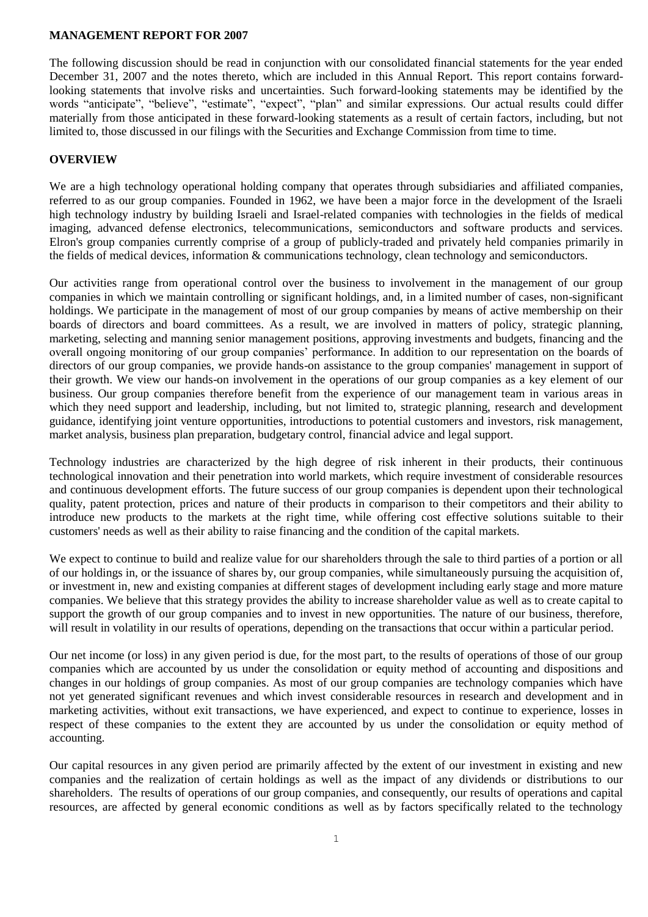## **MANAGEMENT REPORT FOR 2007**

The following discussion should be read in conjunction with our consolidated financial statements for the year ended December 31, 2007 and the notes thereto, which are included in this Annual Report. This report contains forwardlooking statements that involve risks and uncertainties. Such forward-looking statements may be identified by the words "anticipate", "believe", "estimate", "expect", "plan" and similar expressions. Our actual results could differ materially from those anticipated in these forward-looking statements as a result of certain factors, including, but not limited to, those discussed in our filings with the Securities and Exchange Commission from time to time.

## **OVERVIEW**

We are a high technology operational holding company that operates through subsidiaries and affiliated companies, referred to as our group companies. Founded in 1962, we have been a major force in the development of the Israeli high technology industry by building Israeli and Israel-related companies with technologies in the fields of medical imaging, advanced defense electronics, telecommunications, semiconductors and software products and services. Elron's group companies currently comprise of a group of publicly-traded and privately held companies primarily in the fields of medical devices, information & communications technology, clean technology and semiconductors.

Our activities range from operational control over the business to involvement in the management of our group companies in which we maintain controlling or significant holdings, and, in a limited number of cases, non-significant holdings. We participate in the management of most of our group companies by means of active membership on their boards of directors and board committees. As a result, we are involved in matters of policy, strategic planning, marketing, selecting and manning senior management positions, approving investments and budgets, financing and the overall ongoing monitoring of our group companies' performance. In addition to our representation on the boards of directors of our group companies, we provide hands-on assistance to the group companies' management in support of their growth. We view our hands-on involvement in the operations of our group companies as a key element of our business. Our group companies therefore benefit from the experience of our management team in various areas in which they need support and leadership, including, but not limited to, strategic planning, research and development guidance, identifying joint venture opportunities, introductions to potential customers and investors, risk management, market analysis, business plan preparation, budgetary control, financial advice and legal support.

Technology industries are characterized by the high degree of risk inherent in their products, their continuous technological innovation and their penetration into world markets, which require investment of considerable resources and continuous development efforts. The future success of our group companies is dependent upon their technological quality, patent protection, prices and nature of their products in comparison to their competitors and their ability to introduce new products to the markets at the right time, while offering cost effective solutions suitable to their customers' needs as well as their ability to raise financing and the condition of the capital markets.

We expect to continue to build and realize value for our shareholders through the sale to third parties of a portion or all of our holdings in, or the issuance of shares by, our group companies, while simultaneously pursuing the acquisition of, or investment in, new and existing companies at different stages of development including early stage and more mature companies. We believe that this strategy provides the ability to increase shareholder value as well as to create capital to support the growth of our group companies and to invest in new opportunities. The nature of our business, therefore, will result in volatility in our results of operations, depending on the transactions that occur within a particular period.

Our net income (or loss) in any given period is due, for the most part, to the results of operations of those of our group companies which are accounted by us under the consolidation or equity method of accounting and dispositions and changes in our holdings of group companies. As most of our group companies are technology companies which have not yet generated significant revenues and which invest considerable resources in research and development and in marketing activities, without exit transactions, we have experienced, and expect to continue to experience, losses in respect of these companies to the extent they are accounted by us under the consolidation or equity method of accounting.

Our capital resources in any given period are primarily affected by the extent of our investment in existing and new companies and the realization of certain holdings as well as the impact of any dividends or distributions to our shareholders. The results of operations of our group companies, and consequently, our results of operations and capital resources, are affected by general economic conditions as well as by factors specifically related to the technology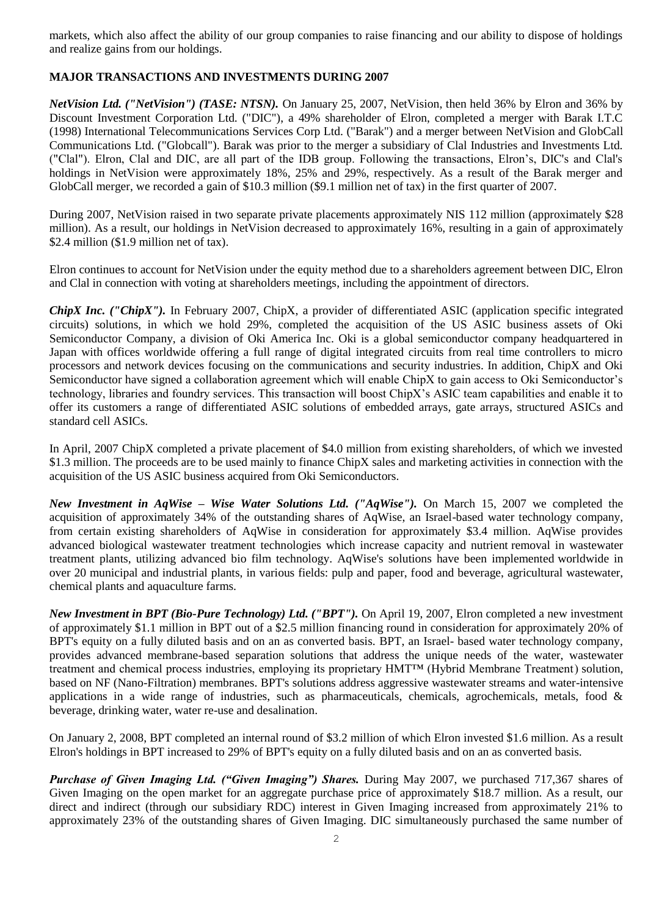markets, which also affect the ability of our group companies to raise financing and our ability to dispose of holdings and realize gains from our holdings.

# **MAJOR TRANSACTIONS AND INVESTMENTS DURING 2007**

*NetVision Ltd. ("NetVision") (TASE: NTSN).* On January 25, 2007, NetVision, then held 36% by Elron and 36% by Discount Investment Corporation Ltd. ("DIC"), a 49% shareholder of Elron, completed a merger with Barak I.T.C (1998) International Telecommunications Services Corp Ltd. ("Barak") and a merger between NetVision and GlobCall Communications Ltd. ("Globcall"). Barak was prior to the merger a subsidiary of Clal Industries and Investments Ltd. ("Clal"). Elron, Clal and DIC, are all part of the IDB group. Following the transactions, Elron's, DIC's and Clal's holdings in NetVision were approximately 18%, 25% and 29%, respectively. As a result of the Barak merger and GlobCall merger, we recorded a gain of \$10.3 million (\$9.1 million net of tax) in the first quarter of 2007.

During 2007, NetVision raised in two separate private placements approximately NIS 112 million (approximately \$28 million). As a result, our holdings in NetVision decreased to approximately 16%, resulting in a gain of approximately \$2.4 million (\$1.9 million net of tax).

Elron continues to account for NetVision under the equity method due to a shareholders agreement between DIC, Elron and Clal in connection with voting at shareholders meetings, including the appointment of directors.

*ChipX Inc. ("ChipX").* In February 2007, ChipX, a provider of differentiated ASIC (application specific integrated circuits) solutions, in which we hold 29%, completed the acquisition of the US ASIC business assets of Oki Semiconductor Company, a division of Oki America Inc. Oki is a global semiconductor company headquartered in Japan with offices worldwide offering a full range of digital integrated circuits from real time controllers to micro processors and network devices focusing on the communications and security industries. In addition, ChipX and Oki Semiconductor have signed a collaboration agreement which will enable ChipX to gain access to Oki Semiconductor's technology, libraries and foundry services. This transaction will boost ChipX's ASIC team capabilities and enable it to offer its customers a range of differentiated ASIC solutions of embedded arrays, gate arrays, structured ASICs and standard cell ASICs.

In April, 2007 ChipX completed a private placement of \$4.0 million from existing shareholders, of which we invested \$1.3 million. The proceeds are to be used mainly to finance ChipX sales and marketing activities in connection with the acquisition of the US ASIC business acquired from Oki Semiconductors.

*New Investment in AqWise – Wise Water Solutions Ltd. ("AqWise").* On March 15, 2007 we completed the acquisition of approximately 34% of the outstanding shares of AqWise, an Israel-based water technology company, from certain existing shareholders of AqWise in consideration for approximately \$3.4 million. AqWise provides advanced biological wastewater treatment technologies which increase capacity and nutrient removal in wastewater treatment plants, utilizing advanced bio film technology. AqWise's solutions have been implemented worldwide in over 20 municipal and industrial plants, in various fields: pulp and paper, food and beverage, agricultural wastewater, chemical plants and aquaculture farms.

*New Investment in BPT (Bio-Pure Technology) Ltd. ("BPT").* On April 19, 2007, Elron completed a new investment of approximately \$1.1 million in BPT out of a \$2.5 million financing round in consideration for approximately 20% of BPT's equity on a fully diluted basis and on an as converted basis. BPT, an Israel- based water technology company, provides advanced membrane-based separation solutions that address the unique needs of the water, wastewater treatment and chemical process industries, employing its proprietary HMT™ (Hybrid Membrane Treatment) solution, based on NF (Nano-Filtration) membranes. BPT's solutions address aggressive wastewater streams and water-intensive applications in a wide range of industries, such as pharmaceuticals, chemicals, agrochemicals, metals, food  $\&$ beverage, drinking water, water re-use and desalination.

On January 2, 2008, BPT completed an internal round of \$3.2 million of which Elron invested \$1.6 million. As a result Elron's holdings in BPT increased to 29% of BPT's equity on a fully diluted basis and on an as converted basis.

*Purchase of Given Imaging Ltd. ("Given Imaging") Shares.* During May 2007, we purchased 717,367 shares of Given Imaging on the open market for an aggregate purchase price of approximately \$18.7 million. As a result, our direct and indirect (through our subsidiary RDC) interest in Given Imaging increased from approximately 21% to approximately 23% of the outstanding shares of Given Imaging. DIC simultaneously purchased the same number of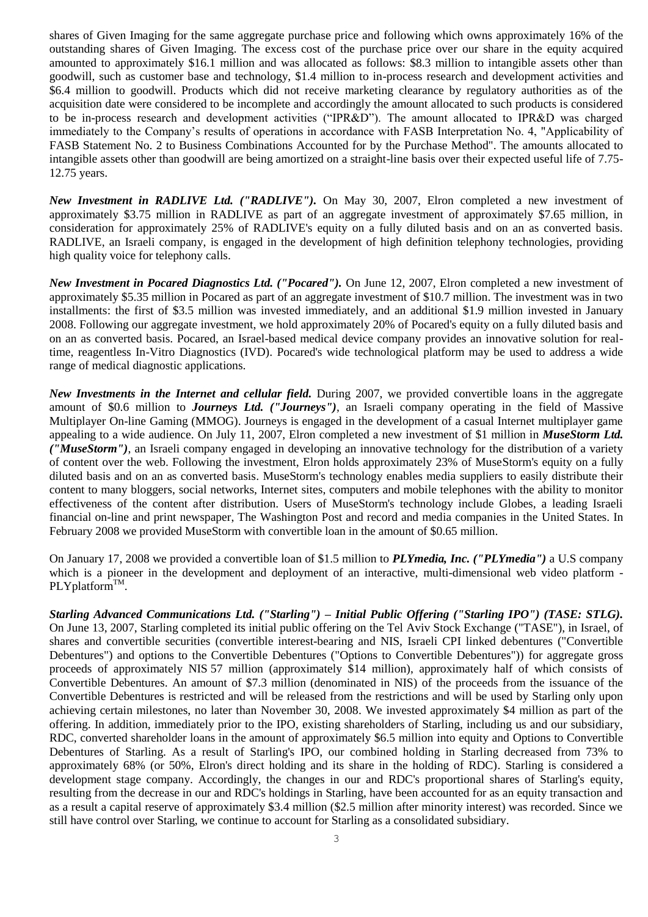shares of Given Imaging for the same aggregate purchase price and following which owns approximately 16% of the outstanding shares of Given Imaging. The excess cost of the purchase price over our share in the equity acquired amounted to approximately \$16.1 million and was allocated as follows: \$8.3 million to intangible assets other than goodwill, such as customer base and technology, \$1.4 million to in-process research and development activities and \$6.4 million to goodwill. Products which did not receive marketing clearance by regulatory authorities as of the acquisition date were considered to be incomplete and accordingly the amount allocated to such products is considered to be in-process research and development activities ("IPR&D"). The amount allocated to IPR&D was charged immediately to the Company's results of operations in accordance with FASB Interpretation No. 4, "Applicability of FASB Statement No. 2 to Business Combinations Accounted for by the Purchase Method". The amounts allocated to intangible assets other than goodwill are being amortized on a straight-line basis over their expected useful life of 7.75- 12.75 years.

*New Investment in RADLIVE Ltd. ("RADLIVE").* On May 30, 2007, Elron completed a new investment of approximately \$3.75 million in RADLIVE as part of an aggregate investment of approximately \$7.65 million, in consideration for approximately 25% of RADLIVE's equity on a fully diluted basis and on an as converted basis. RADLIVE, an Israeli company, is engaged in the development of high definition telephony technologies, providing high quality voice for telephony calls.

*New Investment in Pocared Diagnostics Ltd. ("Pocared").* On June 12, 2007, Elron completed a new investment of approximately \$5.35 million in Pocared as part of an aggregate investment of \$10.7 million. The investment was in two installments: the first of \$3.5 million was invested immediately, and an additional \$1.9 million invested in January 2008. Following our aggregate investment, we hold approximately 20% of Pocared's equity on a fully diluted basis and on an as converted basis. Pocared, an Israel-based medical device company provides an innovative solution for realtime, reagentless In-Vitro Diagnostics (IVD). Pocared's wide technological platform may be used to address a wide range of medical diagnostic applications.

*New Investments in the Internet and cellular field.* During 2007, we provided convertible loans in the aggregate amount of \$0.6 million to *Journeys Ltd. ("Journeys")*, an Israeli company operating in the field of Massive Multiplayer On-line Gaming (MMOG). Journeys is engaged in the development of a casual Internet multiplayer game appealing to a wide audience. On July 11, 2007, Elron completed a new investment of \$1 million in *MuseStorm Ltd. ("MuseStorm")*, an Israeli company engaged in developing an innovative technology for the distribution of a variety of content over the web. Following the investment, Elron holds approximately 23% of MuseStorm's equity on a fully diluted basis and on an as converted basis. MuseStorm's technology enables media suppliers to easily distribute their content to many bloggers, social networks, Internet sites, computers and mobile telephones with the ability to monitor effectiveness of the content after distribution. Users of MuseStorm's technology include Globes, a leading Israeli financial on-line and print newspaper, The Washington Post and record and media companies in the United States. In February 2008 we provided MuseStorm with convertible loan in the amount of \$0.65 million.

On January 17, 2008 we provided a convertible loan of \$1.5 million to *PLYmedia, Inc. ("PLYmedia")* a U.S company which is a pioneer in the development and deployment of an interactive, multi-dimensional web video platform - $PLY$ platform<sup>TM</sup>.

*Starling Advanced Communications Ltd. ("Starling") – Initial Public Offering ("Starling IPO") (TASE: STLG).* On June 13, 2007, Starling completed its initial public offering on the Tel Aviv Stock Exchange ("TASE"), in Israel, of shares and convertible securities (convertible interest-bearing and NIS, Israeli CPI linked debentures ("Convertible Debentures") and options to the Convertible Debentures ("Options to Convertible Debentures")) for aggregate gross proceeds of approximately NIS 57 million (approximately \$14 million), approximately half of which consists of Convertible Debentures. An amount of \$7.3 million (denominated in NIS) of the proceeds from the issuance of the Convertible Debentures is restricted and will be released from the restrictions and will be used by Starling only upon achieving certain milestones, no later than November 30, 2008. We invested approximately \$4 million as part of the offering. In addition, immediately prior to the IPO, existing shareholders of Starling, including us and our subsidiary, RDC, converted shareholder loans in the amount of approximately \$6.5 million into equity and Options to Convertible Debentures of Starling. As a result of Starling's IPO, our combined holding in Starling decreased from 73% to approximately 68% (or 50%, Elron's direct holding and its share in the holding of RDC). Starling is considered a development stage company. Accordingly, the changes in our and RDC's proportional shares of Starling's equity, resulting from the decrease in our and RDC's holdings in Starling, have been accounted for as an equity transaction and as a result a capital reserve of approximately \$3.4 million (\$2.5 million after minority interest) was recorded. Since we still have control over Starling, we continue to account for Starling as a consolidated subsidiary.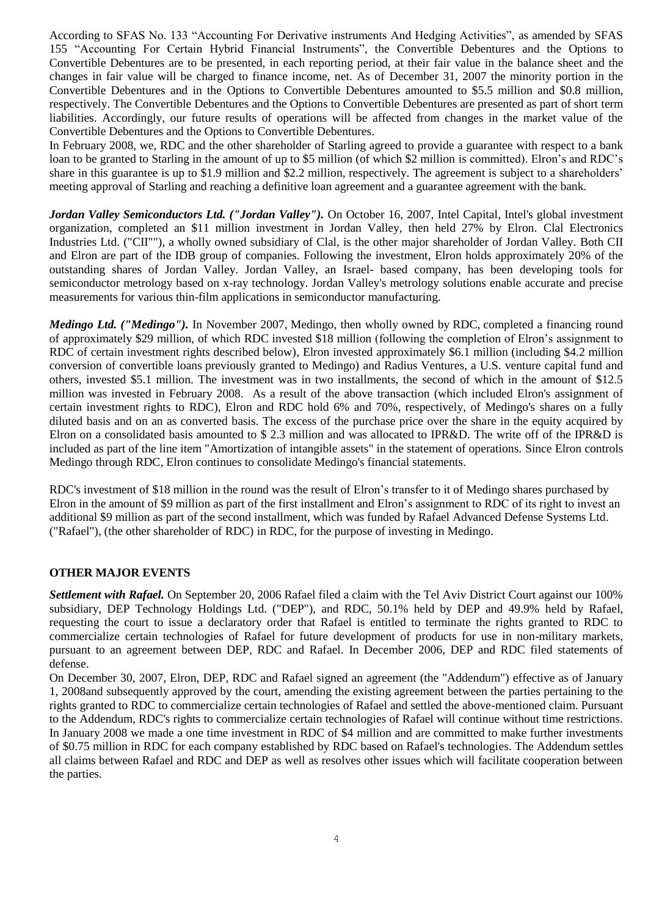According to SFAS No. 133 "Accounting For Derivative instruments And Hedging Activities", as amended by SFAS 155 "Accounting For Certain Hybrid Financial Instruments", the Convertible Debentures and the Options to Convertible Debentures are to be presented, in each reporting period, at their fair value in the balance sheet and the changes in fair value will be charged to finance income, net. As of December 31, 2007 the minority portion in the Convertible Debentures and in the Options to Convertible Debentures amounted to \$5.5 million and \$0.8 million, respectively. The Convertible Debentures and the Options to Convertible Debentures are presented as part of short term liabilities. Accordingly, our future results of operations will be affected from changes in the market value of the Convertible Debentures and the Options to Convertible Debentures.

In February 2008, we, RDC and the other shareholder of Starling agreed to provide a guarantee with respect to a bank loan to be granted to Starling in the amount of up to \$5 million (of which \$2 million is committed). Elron's and RDC's share in this guarantee is up to \$1.9 million and \$2.2 million, respectively. The agreement is subject to a shareholders' meeting approval of Starling and reaching a definitive loan agreement and a guarantee agreement with the bank.

*Jordan Valley Semiconductors Ltd. ("Jordan Valley").* On October 16, 2007, Intel Capital, Intel's global investment organization, completed an \$11 million investment in Jordan Valley, then held 27% by Elron. Clal Electronics Industries Ltd. ("CII""), a wholly owned subsidiary of Clal, is the other major shareholder of Jordan Valley. Both CII and Elron are part of the IDB group of companies. Following the investment, Elron holds approximately 20% of the outstanding shares of Jordan Valley. Jordan Valley, an Israel- based company, has been developing tools for semiconductor metrology based on x-ray technology. Jordan Valley's metrology solutions enable accurate and precise measurements for various thin-film applications in semiconductor manufacturing.

*Medingo Ltd. ("Medingo").* In November 2007, Medingo, then wholly owned by RDC, completed a financing round of approximately \$29 million, of which RDC invested \$18 million (following the completion of Elron's assignment to RDC of certain investment rights described below), Elron invested approximately \$6.1 million (including \$4.2 million conversion of convertible loans previously granted to Medingo) and Radius Ventures, a U.S. venture capital fund and others, invested \$5.1 million. The investment was in two installments, the second of which in the amount of \$12.5 million was invested in February 2008. As a result of the above transaction (which included Elron's assignment of certain investment rights to RDC), Elron and RDC hold 6% and 70%, respectively, of Medingo's shares on a fully diluted basis and on an as converted basis. The excess of the purchase price over the share in the equity acquired by Elron on a consolidated basis amounted to \$ 2.3 million and was allocated to IPR&D. The write off of the IPR&D is included as part of the line item "Amortization of intangible assets" in the statement of operations. Since Elron controls Medingo through RDC, Elron continues to consolidate Medingo's financial statements.

RDC's investment of \$18 million in the round was the result of Elron's transfer to it of Medingo shares purchased by Elron in the amount of \$9 million as part of the first installment and Elron's assignment to RDC of its right to invest an additional \$9 million as part of the second installment, which was funded by Rafael Advanced Defense Systems Ltd. ("Rafael"), (the other shareholder of RDC) in RDC, for the purpose of investing in Medingo.

## **OTHER MAJOR EVENTS**

*Settlement with Rafael.* On September 20, 2006 Rafael filed a claim with the Tel Aviv District Court against our 100% subsidiary, DEP Technology Holdings Ltd. ("DEP"), and RDC, 50.1% held by DEP and 49.9% held by Rafael, requesting the court to issue a declaratory order that Rafael is entitled to terminate the rights granted to RDC to commercialize certain technologies of Rafael for future development of products for use in non-military markets, pursuant to an agreement between DEP, RDC and Rafael. In December 2006, DEP and RDC filed statements of defense.

On December 30, 2007, Elron, DEP, RDC and Rafael signed an agreement (the "Addendum") effective as of January 1, 2008and subsequently approved by the court, amending the existing agreement between the parties pertaining to the rights granted to RDC to commercialize certain technologies of Rafael and settled the above-mentioned claim. Pursuant to the Addendum, RDC's rights to commercialize certain technologies of Rafael will continue without time restrictions. In January 2008 we made a one time investment in RDC of \$4 million and are committed to make further investments of \$0.75 million in RDC for each company established by RDC based on Rafael's technologies. The Addendum settles all claims between Rafael and RDC and DEP as well as resolves other issues which will facilitate cooperation between the parties.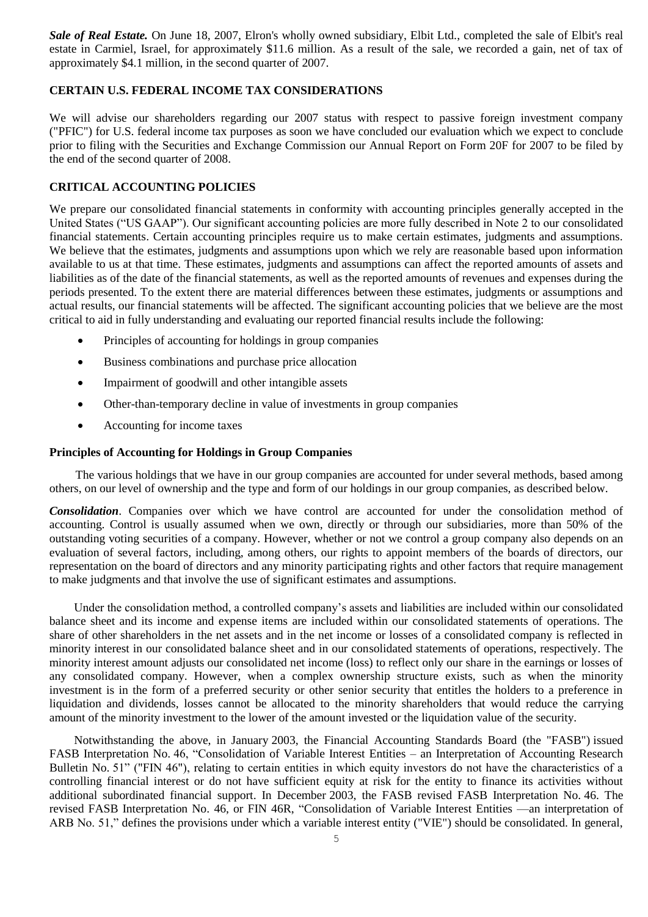*Sale of Real Estate.* On June 18, 2007, Elron's wholly owned subsidiary, Elbit Ltd., completed the sale of Elbit's real estate in Carmiel, Israel, for approximately \$11.6 million. As a result of the sale, we recorded a gain, net of tax of approximately \$4.1 million, in the second quarter of 2007.

## **CERTAIN U.S. FEDERAL INCOME TAX CONSIDERATIONS**

We will advise our shareholders regarding our 2007 status with respect to passive foreign investment company ("PFIC") for U.S. federal income tax purposes as soon we have concluded our evaluation which we expect to conclude prior to filing with the Securities and Exchange Commission our Annual Report on Form 20F for 2007 to be filed by the end of the second quarter of 2008.

## **CRITICAL ACCOUNTING POLICIES**

We prepare our consolidated financial statements in conformity with accounting principles generally accepted in the United States ("US GAAP"). Our significant accounting policies are more fully described in Note 2 to our consolidated financial statements. Certain accounting principles require us to make certain estimates, judgments and assumptions. We believe that the estimates, judgments and assumptions upon which we rely are reasonable based upon information available to us at that time. These estimates, judgments and assumptions can affect the reported amounts of assets and liabilities as of the date of the financial statements, as well as the reported amounts of revenues and expenses during the periods presented. To the extent there are material differences between these estimates, judgments or assumptions and actual results, our financial statements will be affected. The significant accounting policies that we believe are the most critical to aid in fully understanding and evaluating our reported financial results include the following:

- Principles of accounting for holdings in group companies
- Business combinations and purchase price allocation
- Impairment of goodwill and other intangible assets
- Other-than-temporary decline in value of investments in group companies
- Accounting for income taxes

### **Principles of Accounting for Holdings in Group Companies**

The various holdings that we have in our group companies are accounted for under several methods, based among others, on our level of ownership and the type and form of our holdings in our group companies, as described below.

*Consolidation*. Companies over which we have control are accounted for under the consolidation method of accounting. Control is usually assumed when we own, directly or through our subsidiaries, more than 50% of the outstanding voting securities of a company. However, whether or not we control a group company also depends on an evaluation of several factors, including, among others, our rights to appoint members of the boards of directors, our representation on the board of directors and any minority participating rights and other factors that require management to make judgments and that involve the use of significant estimates and assumptions.

Under the consolidation method, a controlled company's assets and liabilities are included within our consolidated balance sheet and its income and expense items are included within our consolidated statements of operations. The share of other shareholders in the net assets and in the net income or losses of a consolidated company is reflected in minority interest in our consolidated balance sheet and in our consolidated statements of operations, respectively. The minority interest amount adjusts our consolidated net income (loss) to reflect only our share in the earnings or losses of any consolidated company. However, when a complex ownership structure exists, such as when the minority investment is in the form of a preferred security or other senior security that entitles the holders to a preference in liquidation and dividends, losses cannot be allocated to the minority shareholders that would reduce the carrying amount of the minority investment to the lower of the amount invested or the liquidation value of the security.

Notwithstanding the above, in January 2003, the Financial Accounting Standards Board (the "FASB") issued FASB Interpretation No. 46, "Consolidation of Variable Interest Entities – an Interpretation of Accounting Research Bulletin No. 51" ("FIN 46"), relating to certain entities in which equity investors do not have the characteristics of a controlling financial interest or do not have sufficient equity at risk for the entity to finance its activities without additional subordinated financial support. In December 2003, the FASB revised FASB Interpretation No. 46. The revised FASB Interpretation No. 46, or FIN 46R, "Consolidation of Variable Interest Entities —an interpretation of ARB No. 51," defines the provisions under which a variable interest entity ("VIE") should be consolidated. In general,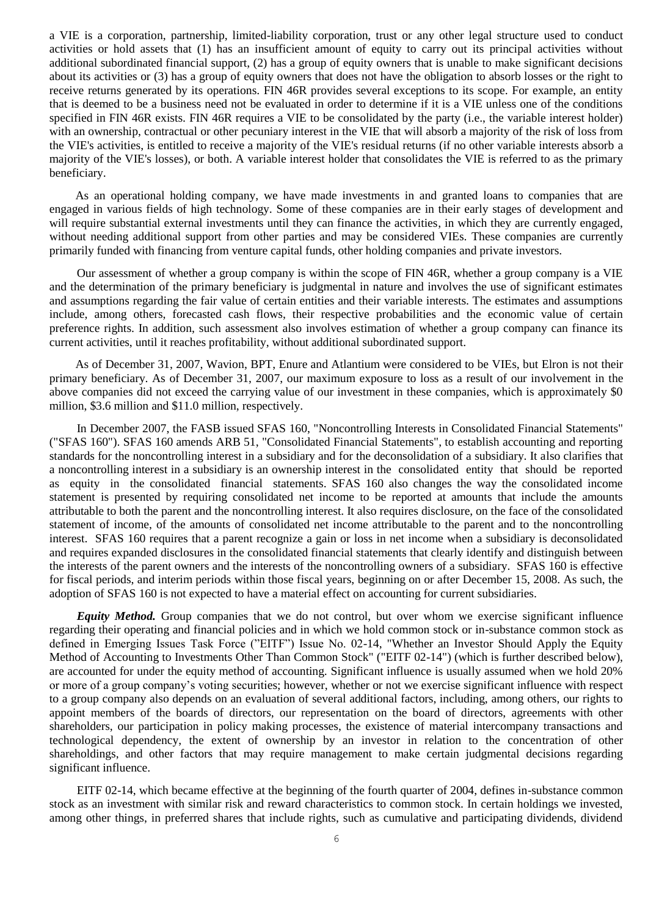a VIE is a corporation, partnership, limited-liability corporation, trust or any other legal structure used to conduct activities or hold assets that (1) has an insufficient amount of equity to carry out its principal activities without additional subordinated financial support, (2) has a group of equity owners that is unable to make significant decisions about its activities or (3) has a group of equity owners that does not have the obligation to absorb losses or the right to receive returns generated by its operations. FIN 46R provides several exceptions to its scope. For example, an entity that is deemed to be a business need not be evaluated in order to determine if it is a VIE unless one of the conditions specified in FIN 46R exists. FIN 46R requires a VIE to be consolidated by the party (i.e., the variable interest holder) with an ownership, contractual or other pecuniary interest in the VIE that will absorb a majority of the risk of loss from the VIE's activities, is entitled to receive a majority of the VIE's residual returns (if no other variable interests absorb a majority of the VIE's losses), or both. A variable interest holder that consolidates the VIE is referred to as the primary beneficiary.

As an operational holding company, we have made investments in and granted loans to companies that are engaged in various fields of high technology. Some of these companies are in their early stages of development and will require substantial external investments until they can finance the activities, in which they are currently engaged, without needing additional support from other parties and may be considered VIEs. These companies are currently primarily funded with financing from venture capital funds, other holding companies and private investors.

Our assessment of whether a group company is within the scope of FIN 46R, whether a group company is a VIE and the determination of the primary beneficiary is judgmental in nature and involves the use of significant estimates and assumptions regarding the fair value of certain entities and their variable interests. The estimates and assumptions include, among others, forecasted cash flows, their respective probabilities and the economic value of certain preference rights. In addition, such assessment also involves estimation of whether a group company can finance its current activities, until it reaches profitability, without additional subordinated support.

As of December 31, 2007, Wavion, BPT, Enure and Atlantium were considered to be VIEs, but Elron is not their primary beneficiary. As of December 31, 2007, our maximum exposure to loss as a result of our involvement in the above companies did not exceed the carrying value of our investment in these companies, which is approximately \$0 million, \$3.6 million and \$11.0 million, respectively.

In December 2007, the FASB issued SFAS 160, "Noncontrolling Interests in Consolidated Financial Statements" ("SFAS 160"). SFAS 160 amends ARB 51, "Consolidated Financial Statements", to establish accounting and reporting standards for the noncontrolling interest in a subsidiary and for the deconsolidation of a subsidiary. It also clarifies that a noncontrolling interest in a subsidiary is an ownership interest in the consolidated entity that should be reported as equity in the consolidated financial statements. SFAS 160 also changes the way the consolidated income statement is presented by requiring consolidated net income to be reported at amounts that include the amounts attributable to both the parent and the noncontrolling interest. It also requires disclosure, on the face of the consolidated statement of income, of the amounts of consolidated net income attributable to the parent and to the noncontrolling interest. SFAS 160 requires that a parent recognize a gain or loss in net income when a subsidiary is deconsolidated and requires expanded disclosures in the consolidated financial statements that clearly identify and distinguish between the interests of the parent owners and the interests of the noncontrolling owners of a subsidiary. SFAS 160 is effective for fiscal periods, and interim periods within those fiscal years, beginning on or after December 15, 2008. As such, the adoption of SFAS 160 is not expected to have a material effect on accounting for current subsidiaries.

*Equity Method.* Group companies that we do not control, but over whom we exercise significant influence regarding their operating and financial policies and in which we hold common stock or in-substance common stock as defined in Emerging Issues Task Force ("EITF") Issue No. 02-14, "Whether an Investor Should Apply the Equity Method of Accounting to Investments Other Than Common Stock" ("EITF 02-14") (which is further described below), are accounted for under the equity method of accounting. Significant influence is usually assumed when we hold 20% or more of a group company's voting securities; however, whether or not we exercise significant influence with respect to a group company also depends on an evaluation of several additional factors, including, among others, our rights to appoint members of the boards of directors, our representation on the board of directors, agreements with other shareholders, our participation in policy making processes, the existence of material intercompany transactions and technological dependency, the extent of ownership by an investor in relation to the concentration of other shareholdings, and other factors that may require management to make certain judgmental decisions regarding significant influence.

EITF 02-14, which became effective at the beginning of the fourth quarter of 2004, defines in-substance common stock as an investment with similar risk and reward characteristics to common stock. In certain holdings we invested, among other things, in preferred shares that include rights, such as cumulative and participating dividends, dividend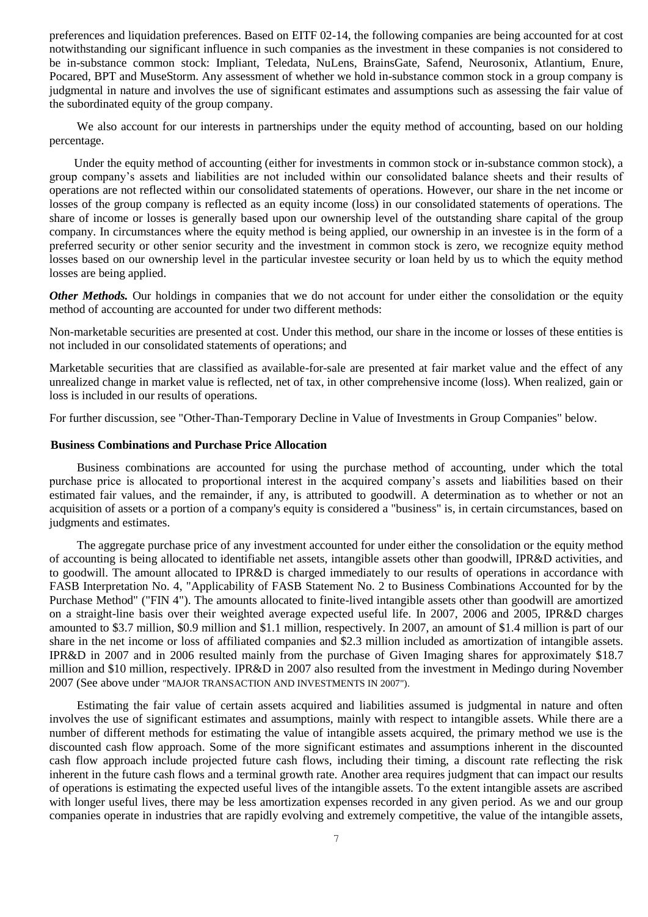preferences and liquidation preferences. Based on EITF 02-14, the following companies are being accounted for at cost notwithstanding our significant influence in such companies as the investment in these companies is not considered to be in-substance common stock: Impliant, Teledata, NuLens, BrainsGate, Safend, Neurosonix, Atlantium, Enure, Pocared, BPT and MuseStorm. Any assessment of whether we hold in-substance common stock in a group company is judgmental in nature and involves the use of significant estimates and assumptions such as assessing the fair value of the subordinated equity of the group company.

We also account for our interests in partnerships under the equity method of accounting, based on our holding percentage.

Under the equity method of accounting (either for investments in common stock or in-substance common stock), a group company's assets and liabilities are not included within our consolidated balance sheets and their results of operations are not reflected within our consolidated statements of operations. However, our share in the net income or losses of the group company is reflected as an equity income (loss) in our consolidated statements of operations. The share of income or losses is generally based upon our ownership level of the outstanding share capital of the group company. In circumstances where the equity method is being applied, our ownership in an investee is in the form of a preferred security or other senior security and the investment in common stock is zero, we recognize equity method losses based on our ownership level in the particular investee security or loan held by us to which the equity method losses are being applied.

*Other Methods.* Our holdings in companies that we do not account for under either the consolidation or the equity method of accounting are accounted for under two different methods:

Non-marketable securities are presented at cost. Under this method, our share in the income or losses of these entities is not included in our consolidated statements of operations; and

Marketable securities that are classified as available-for-sale are presented at fair market value and the effect of any unrealized change in market value is reflected, net of tax, in other comprehensive income (loss). When realized, gain or loss is included in our results of operations.

For further discussion, see "Other-Than-Temporary Decline in Value of Investments in Group Companies" below.

### **Business Combinations and Purchase Price Allocation**

Business combinations are accounted for using the purchase method of accounting, under which the total purchase price is allocated to proportional interest in the acquired company's assets and liabilities based on their estimated fair values, and the remainder, if any, is attributed to goodwill. A determination as to whether or not an acquisition of assets or a portion of a company's equity is considered a "business" is, in certain circumstances, based on judgments and estimates.

The aggregate purchase price of any investment accounted for under either the consolidation or the equity method of accounting is being allocated to identifiable net assets, intangible assets other than goodwill, IPR&D activities, and to goodwill. The amount allocated to IPR&D is charged immediately to our results of operations in accordance with FASB Interpretation No. 4, "Applicability of FASB Statement No. 2 to Business Combinations Accounted for by the Purchase Method" ("FIN 4"). The amounts allocated to finite-lived intangible assets other than goodwill are amortized on a straight-line basis over their weighted average expected useful life. In 2007, 2006 and 2005, IPR&D charges amounted to \$3.7 million, \$0.9 million and \$1.1 million, respectively. In 2007, an amount of \$1.4 million is part of our share in the net income or loss of affiliated companies and \$2.3 million included as amortization of intangible assets. IPR&D in 2007 and in 2006 resulted mainly from the purchase of Given Imaging shares for approximately \$18.7 million and \$10 million, respectively. IPR&D in 2007 also resulted from the investment in Medingo during November 2007 (See above under "MAJOR TRANSACTION AND INVESTMENTS IN 2007").

Estimating the fair value of certain assets acquired and liabilities assumed is judgmental in nature and often involves the use of significant estimates and assumptions, mainly with respect to intangible assets. While there are a number of different methods for estimating the value of intangible assets acquired, the primary method we use is the discounted cash flow approach. Some of the more significant estimates and assumptions inherent in the discounted cash flow approach include projected future cash flows, including their timing, a discount rate reflecting the risk inherent in the future cash flows and a terminal growth rate. Another area requires judgment that can impact our results of operations is estimating the expected useful lives of the intangible assets. To the extent intangible assets are ascribed with longer useful lives, there may be less amortization expenses recorded in any given period. As we and our group companies operate in industries that are rapidly evolving and extremely competitive, the value of the intangible assets,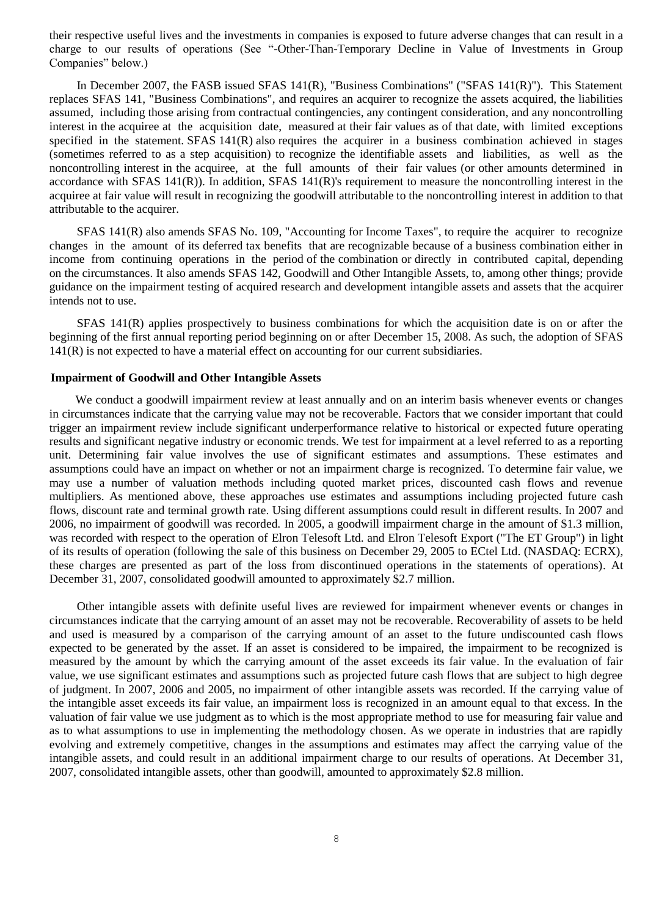their respective useful lives and the investments in companies is exposed to future adverse changes that can result in a charge to our results of operations (See "-Other-Than-Temporary Decline in Value of Investments in Group Companies" below.)

In December 2007, the FASB issued SFAS 141(R), "Business Combinations" ("SFAS 141(R)"). This Statement replaces SFAS 141, "Business Combinations", and requires an acquirer to recognize the assets acquired, the liabilities assumed, including those arising from contractual contingencies, any contingent consideration, and any noncontrolling interest in the acquiree at the acquisition date, measured at their fair values as of that date, with limited exceptions specified in the statement. SFAS  $141(R)$  also requires the acquirer in a business combination achieved in stages (sometimes referred to as a step acquisition) to recognize the identifiable assets and liabilities, as well as the noncontrolling interest in the acquiree, at the full amounts of their fair values (or other amounts determined in accordance with SFAS 141(R)). In addition, SFAS 141(R)'s requirement to measure the noncontrolling interest in the acquiree at fair value will result in recognizing the goodwill attributable to the noncontrolling interest in addition to that attributable to the acquirer.

SFAS 141(R) also amends SFAS No. 109, "Accounting for Income Taxes", to require the acquirer to recognize changes in the amount of its deferred tax benefits that are recognizable because of a business combination either in income from continuing operations in the period of the combination or directly in contributed capital, depending on the circumstances. It also amends SFAS 142, Goodwill and Other Intangible Assets, to, among other things; provide guidance on the impairment testing of acquired research and development intangible assets and assets that the acquirer intends not to use.

SFAS 141(R) applies prospectively to business combinations for which the acquisition date is on or after the beginning of the first annual reporting period beginning on or after December 15, 2008. As such, the adoption of SFAS 141(R) is not expected to have a material effect on accounting for our current subsidiaries.

#### **Impairment of Goodwill and Other Intangible Assets**

We conduct a goodwill impairment review at least annually and on an interim basis whenever events or changes in circumstances indicate that the carrying value may not be recoverable. Factors that we consider important that could trigger an impairment review include significant underperformance relative to historical or expected future operating results and significant negative industry or economic trends. We test for impairment at a level referred to as a reporting unit. Determining fair value involves the use of significant estimates and assumptions. These estimates and assumptions could have an impact on whether or not an impairment charge is recognized. To determine fair value, we may use a number of valuation methods including quoted market prices, discounted cash flows and revenue multipliers. As mentioned above, these approaches use estimates and assumptions including projected future cash flows, discount rate and terminal growth rate. Using different assumptions could result in different results. In 2007 and 2006, no impairment of goodwill was recorded. In 2005, a goodwill impairment charge in the amount of \$1.3 million, was recorded with respect to the operation of Elron Telesoft Ltd. and Elron Telesoft Export ("The ET Group") in light of its results of operation (following the sale of this business on December 29, 2005 to ECtel Ltd. (NASDAQ: ECRX), these charges are presented as part of the loss from discontinued operations in the statements of operations). At December 31, 2007, consolidated goodwill amounted to approximately \$2.7 million.

Other intangible assets with definite useful lives are reviewed for impairment whenever events or changes in circumstances indicate that the carrying amount of an asset may not be recoverable. Recoverability of assets to be held and used is measured by a comparison of the carrying amount of an asset to the future undiscounted cash flows expected to be generated by the asset. If an asset is considered to be impaired, the impairment to be recognized is measured by the amount by which the carrying amount of the asset exceeds its fair value. In the evaluation of fair value, we use significant estimates and assumptions such as projected future cash flows that are subject to high degree of judgment. In 2007, 2006 and 2005, no impairment of other intangible assets was recorded. If the carrying value of the intangible asset exceeds its fair value, an impairment loss is recognized in an amount equal to that excess. In the valuation of fair value we use judgment as to which is the most appropriate method to use for measuring fair value and as to what assumptions to use in implementing the methodology chosen. As we operate in industries that are rapidly evolving and extremely competitive, changes in the assumptions and estimates may affect the carrying value of the intangible assets, and could result in an additional impairment charge to our results of operations. At December 31, 2007, consolidated intangible assets, other than goodwill, amounted to approximately \$2.8 million.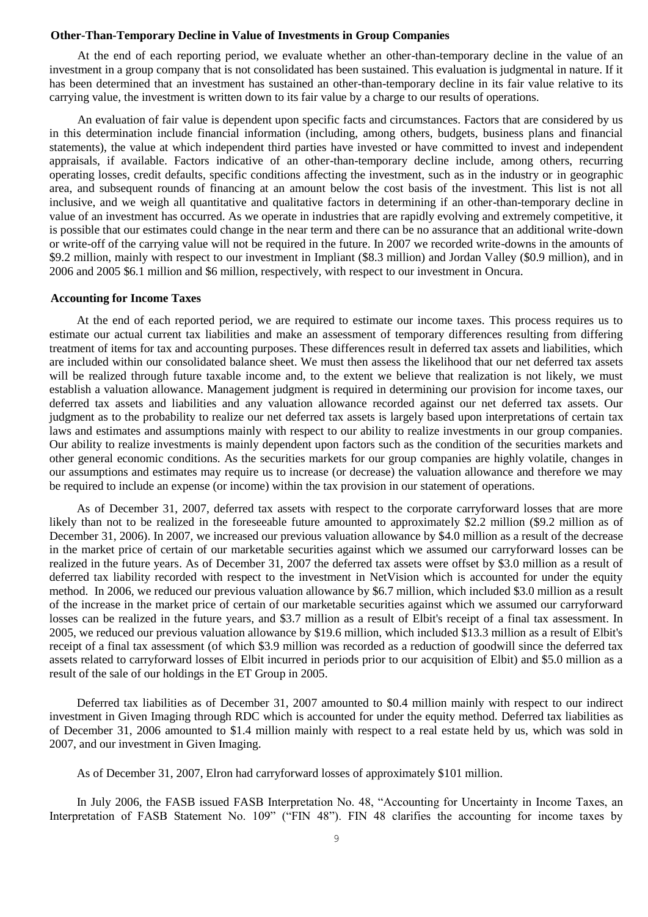#### **Other-Than-Temporary Decline in Value of Investments in Group Companies**

At the end of each reporting period, we evaluate whether an other-than-temporary decline in the value of an investment in a group company that is not consolidated has been sustained. This evaluation is judgmental in nature. If it has been determined that an investment has sustained an other-than-temporary decline in its fair value relative to its carrying value, the investment is written down to its fair value by a charge to our results of operations.

An evaluation of fair value is dependent upon specific facts and circumstances. Factors that are considered by us in this determination include financial information (including, among others, budgets, business plans and financial statements), the value at which independent third parties have invested or have committed to invest and independent appraisals, if available. Factors indicative of an other-than-temporary decline include, among others, recurring operating losses, credit defaults, specific conditions affecting the investment, such as in the industry or in geographic area, and subsequent rounds of financing at an amount below the cost basis of the investment. This list is not all inclusive, and we weigh all quantitative and qualitative factors in determining if an other-than-temporary decline in value of an investment has occurred. As we operate in industries that are rapidly evolving and extremely competitive, it is possible that our estimates could change in the near term and there can be no assurance that an additional write-down or write-off of the carrying value will not be required in the future. In 2007 we recorded write-downs in the amounts of \$9.2 million, mainly with respect to our investment in Impliant (\$8.3 million) and Jordan Valley (\$0.9 million), and in 2006 and 2005 \$6.1 million and \$6 million, respectively, with respect to our investment in Oncura.

#### **Accounting for Income Taxes**

At the end of each reported period, we are required to estimate our income taxes. This process requires us to estimate our actual current tax liabilities and make an assessment of temporary differences resulting from differing treatment of items for tax and accounting purposes. These differences result in deferred tax assets and liabilities, which are included within our consolidated balance sheet. We must then assess the likelihood that our net deferred tax assets will be realized through future taxable income and, to the extent we believe that realization is not likely, we must establish a valuation allowance. Management judgment is required in determining our provision for income taxes, our deferred tax assets and liabilities and any valuation allowance recorded against our net deferred tax assets. Our judgment as to the probability to realize our net deferred tax assets is largely based upon interpretations of certain tax laws and estimates and assumptions mainly with respect to our ability to realize investments in our group companies. Our ability to realize investments is mainly dependent upon factors such as the condition of the securities markets and other general economic conditions. As the securities markets for our group companies are highly volatile, changes in our assumptions and estimates may require us to increase (or decrease) the valuation allowance and therefore we may be required to include an expense (or income) within the tax provision in our statement of operations.

As of December 31, 2007, deferred tax assets with respect to the corporate carryforward losses that are more likely than not to be realized in the foreseeable future amounted to approximately \$2.2 million (\$9.2 million as of December 31, 2006). In 2007, we increased our previous valuation allowance by \$4.0 million as a result of the decrease in the market price of certain of our marketable securities against which we assumed our carryforward losses can be realized in the future years. As of December 31, 2007 the deferred tax assets were offset by \$3.0 million as a result of deferred tax liability recorded with respect to the investment in NetVision which is accounted for under the equity method. In 2006, we reduced our previous valuation allowance by \$6.7 million, which included \$3.0 million as a result of the increase in the market price of certain of our marketable securities against which we assumed our carryforward losses can be realized in the future years, and \$3.7 million as a result of Elbit's receipt of a final tax assessment. In 2005, we reduced our previous valuation allowance by \$19.6 million, which included \$13.3 million as a result of Elbit's receipt of a final tax assessment (of which \$3.9 million was recorded as a reduction of goodwill since the deferred tax assets related to carryforward losses of Elbit incurred in periods prior to our acquisition of Elbit) and \$5.0 million as a result of the sale of our holdings in the ET Group in 2005.

Deferred tax liabilities as of December 31, 2007 amounted to \$0.4 million mainly with respect to our indirect investment in Given Imaging through RDC which is accounted for under the equity method. Deferred tax liabilities as of December 31, 2006 amounted to \$1.4 million mainly with respect to a real estate held by us, which was sold in 2007, and our investment in Given Imaging.

As of December 31, 2007, Elron had carryforward losses of approximately \$101 million.

In July 2006, the FASB issued FASB Interpretation No. 48, "Accounting for Uncertainty in Income Taxes, an Interpretation of FASB Statement No. 109" ("FIN 48"). FIN 48 clarifies the accounting for income taxes by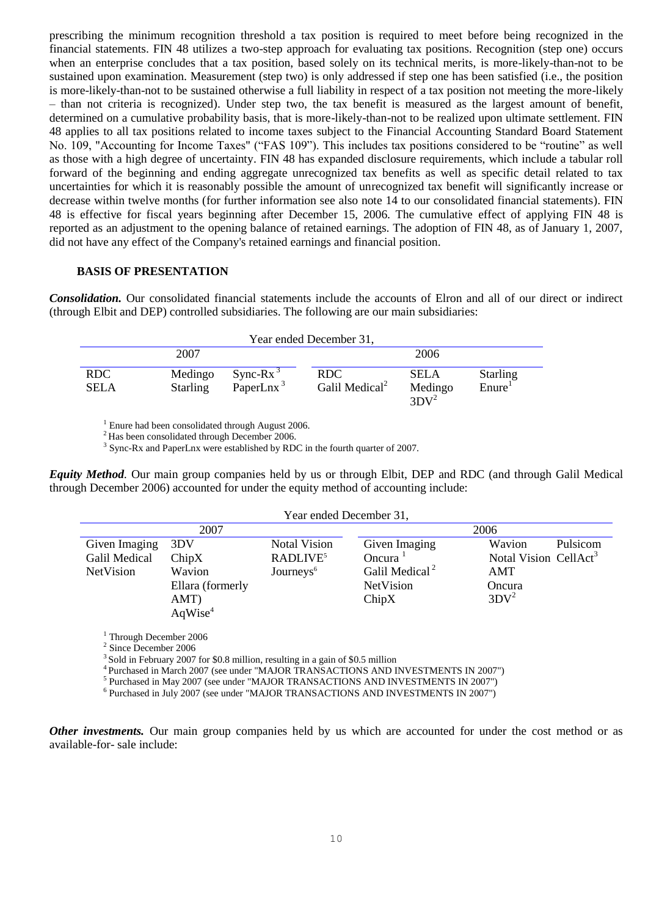prescribing the minimum recognition threshold a tax position is required to meet before being recognized in the financial statements. FIN 48 utilizes a two-step approach for evaluating tax positions. Recognition (step one) occurs when an enterprise concludes that a tax position, based solely on its technical merits, is more-likely-than-not to be sustained upon examination. Measurement (step two) is only addressed if step one has been satisfied (i.e., the position is more-likely-than-not to be sustained otherwise a full liability in respect of a tax position not meeting the more-likely – than not criteria is recognized). Under step two, the tax benefit is measured as the largest amount of benefit, determined on a cumulative probability basis, that is more-likely-than-not to be realized upon ultimate settlement. FIN 48 applies to all tax positions related to income taxes subject to the Financial Accounting Standard Board Statement No. 109, "Accounting for Income Taxes" ("FAS 109"). This includes tax positions considered to be "routine" as well as those with a high degree of uncertainty. FIN 48 has expanded disclosure requirements, which include a tabular roll forward of the beginning and ending aggregate unrecognized tax benefits as well as specific detail related to tax uncertainties for which it is reasonably possible the amount of unrecognized tax benefit will significantly increase or decrease within twelve months (for further information see also note 14 to our consolidated financial statements). FIN 48 is effective for fiscal years beginning after December 15, 2006. The cumulative effect of applying FIN 48 is reported as an adjustment to the opening balance of retained earnings. The adoption of FIN 48, as of January 1, 2007, did not have any effect of the Company's retained earnings and financial position.

#### **BASIS OF PRESENTATION**

*Consolidation.* Our consolidated financial statements include the accounts of Elron and all of our direct or indirect (through Elbit and DEP) controlled subsidiaries. The following are our main subsidiaries:

| Year ended December 31, |                            |                                      |                                    |                                   |                                       |
|-------------------------|----------------------------|--------------------------------------|------------------------------------|-----------------------------------|---------------------------------------|
| 2007                    |                            |                                      | 2006                               |                                   |                                       |
| RDC<br><b>SELA</b>      | Medingo<br><b>Starling</b> | Sync-Rx $3$<br>PaperLnx <sup>3</sup> | RDC.<br>Galil Medical <sup>2</sup> | <b>SELA</b><br>Medingo<br>$3DY^2$ | <b>Starling</b><br>Enure <sup>1</sup> |

<sup>1</sup> Enure had been consolidated through August 2006.

<sup>2</sup> Has been consolidated through December 2006.

<sup>3</sup> Sync-Rx and PaperLnx were established by RDC in the fourth quarter of 2007.

*Equity Method.* Our main group companies held by us or through Elbit, DEP and RDC (and through Galil Medical through December 2006) accounted for under the equity method of accounting include:

| 2007                |                       |                            | 2006                              |  |  |
|---------------------|-----------------------|----------------------------|-----------------------------------|--|--|
| 3DV                 | <b>Notal Vision</b>   | Given Imaging              | Wavion<br>Pulsicom                |  |  |
| ChipX               | RADLIVE <sup>5</sup>  | Oncura <sup>1</sup>        | Notal Vision CellAct <sup>3</sup> |  |  |
| Wavion              | Journeys <sup>6</sup> | Galil Medical <sup>2</sup> | AMT                               |  |  |
| Ellara (formerly    |                       | NetVision                  | Oncura                            |  |  |
| AMT)                |                       | ChipX                      | $3DV^2$                           |  |  |
| AqWise <sup>4</sup> |                       |                            |                                   |  |  |
|                     |                       |                            | Year ended December 31,           |  |  |

<sup>1</sup> Through December 2006

2 Since December 2006

 $^3$  Sold in February 2007 for \$0.8 million, resulting in a gain of \$0.5 million

<sup>4</sup> Purchased in March 2007 (see under "MAJOR TRANSACTIONS AND INVESTMENTS IN 2007")

<sup>5</sup> Purchased in May 2007 (see under "MAJOR TRANSACTIONS AND INVESTMENTS IN 2007")

<sup>6</sup> Purchased in July 2007 (see under "MAJOR TRANSACTIONS AND INVESTMENTS IN 2007")

*Other investments.* Our main group companies held by us which are accounted for under the cost method or as available-for- sale include: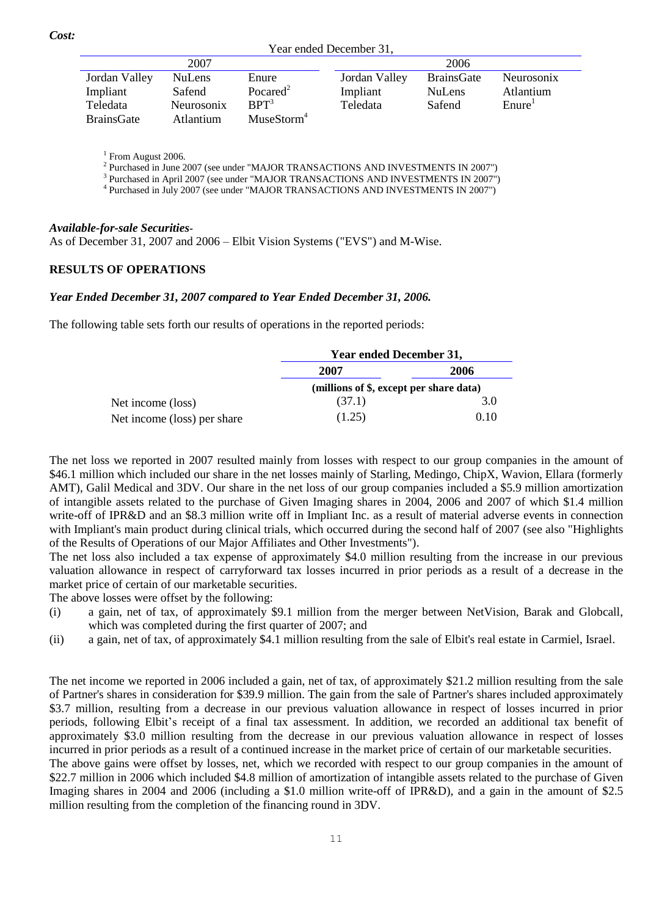Year ended December 31,

| 2007          |                   | 2006                   |               |                   |                    |  |
|---------------|-------------------|------------------------|---------------|-------------------|--------------------|--|
| Jordan Valley | <b>NuLens</b>     | Enure                  | Jordan Valley | <b>BrainsGate</b> | <b>Neurosonix</b>  |  |
| Impliant      | Safend            | Pocared <sup>2</sup>   | Impliant      | <b>NuLens</b>     | Atlantium          |  |
| Teledata      | <b>Neurosonix</b> | RPT <sup>3</sup>       | Teledata      | Safend            | Enure <sup>T</sup> |  |
| BrainsGate    | <b>Atlantium</b>  | MuseStorm <sup>4</sup> |               |                   |                    |  |

<sup>1</sup> From August 2006.

<sup>2</sup> Purchased in June 2007 (see under "MAJOR TRANSACTIONS AND INVESTMENTS IN 2007")

<sup>3</sup> Purchased in April 2007 (see under "MAJOR TRANSACTIONS AND INVESTMENTS IN 2007")

<sup>4</sup> Purchased in July 2007 (see under "MAJOR TRANSACTIONS AND INVESTMENTS IN 2007")

### *Available-for-sale Securities-*

As of December 31, 2007 and 2006 – Elbit Vision Systems ("EVS") and M-Wise.

## **RESULTS OF OPERATIONS**

### *Year Ended December 31, 2007 compared to Year Ended December 31, 2006.*

The following table sets forth our results of operations in the reported periods:

|                             | Year ended December 31,                 |      |  |
|-----------------------------|-----------------------------------------|------|--|
|                             | 2007                                    | 2006 |  |
|                             | (millions of \$, except per share data) |      |  |
| Net income (loss)           | (37.1)                                  | 3.0  |  |
| Net income (loss) per share | (1.25)                                  | 0.10 |  |

The net loss we reported in 2007 resulted mainly from losses with respect to our group companies in the amount of \$46.1 million which included our share in the net losses mainly of Starling, Medingo, ChipX, Wavion, Ellara (formerly AMT), Galil Medical and 3DV. Our share in the net loss of our group companies included a \$5.9 million amortization of intangible assets related to the purchase of Given Imaging shares in 2004, 2006 and 2007 of which \$1.4 million write-off of IPR&D and an \$8.3 million write off in Impliant Inc. as a result of material adverse events in connection with Impliant's main product during clinical trials, which occurred during the second half of 2007 (see also "Highlights of the Results of Operations of our Major Affiliates and Other Investments").

The net loss also included a tax expense of approximately \$4.0 million resulting from the increase in our previous valuation allowance in respect of carryforward tax losses incurred in prior periods as a result of a decrease in the market price of certain of our marketable securities.

The above losses were offset by the following:

- (i) a gain, net of tax, of approximately \$9.1 million from the merger between NetVision, Barak and Globcall, which was completed during the first quarter of 2007; and
- (ii) a gain, net of tax, of approximately \$4.1 million resulting from the sale of Elbit's real estate in Carmiel, Israel.

The net income we reported in 2006 included a gain, net of tax, of approximately \$21.2 million resulting from the sale of Partner's shares in consideration for \$39.9 million. The gain from the sale of Partner's shares included approximately \$3.7 million, resulting from a decrease in our previous valuation allowance in respect of losses incurred in prior periods, following Elbit's receipt of a final tax assessment. In addition, we recorded an additional tax benefit of approximately \$3.0 million resulting from the decrease in our previous valuation allowance in respect of losses incurred in prior periods as a result of a continued increase in the market price of certain of our marketable securities.

The above gains were offset by losses, net, which we recorded with respect to our group companies in the amount of \$22.7 million in 2006 which included \$4.8 million of amortization of intangible assets related to the purchase of Given Imaging shares in 2004 and 2006 (including a \$1.0 million write-off of IPR&D), and a gain in the amount of \$2.5 million resulting from the completion of the financing round in 3DV.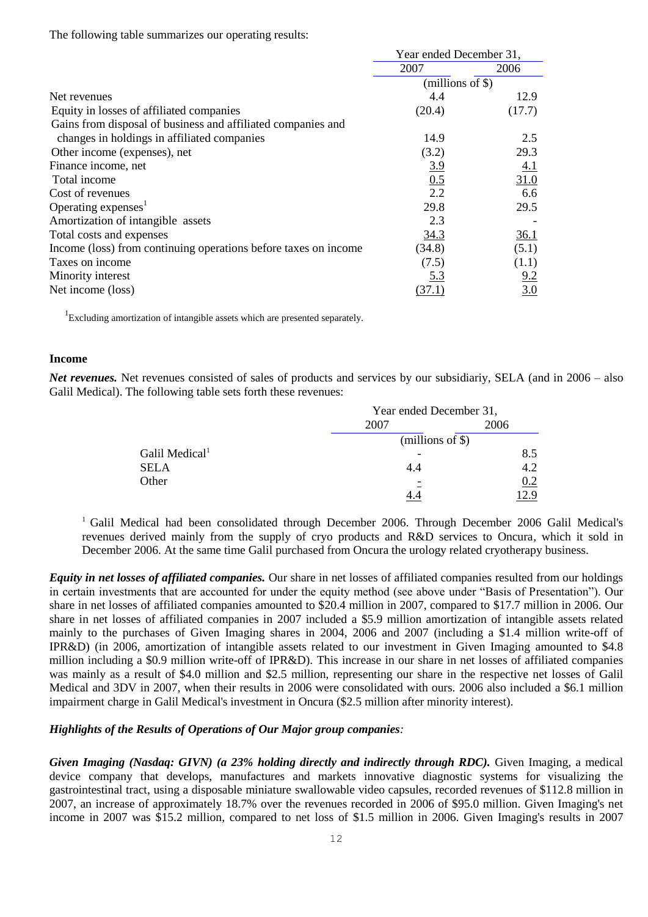The following table summarizes our operating results:

|                                                                 | Year ended December 31, |                  |
|-----------------------------------------------------------------|-------------------------|------------------|
|                                                                 | 2007                    | 2006             |
|                                                                 | (millions of $\$ )      |                  |
| Net revenues                                                    | 4.4                     | 12.9             |
| Equity in losses of affiliated companies                        | (20.4)                  | (17.7)           |
| Gains from disposal of business and affiliated companies and    |                         |                  |
| changes in holdings in affiliated companies                     | 14.9                    | 2.5              |
| Other income (expenses), net                                    | (3.2)                   | 29.3             |
| Finance income, net                                             | <u>3.9</u>              | <u>4.1</u>       |
| Total income                                                    | 0.5                     | 31.0             |
| Cost of revenues                                                | 2.2                     | 6.6              |
| Operating expenses <sup>1</sup>                                 | 29.8                    | 29.5             |
| Amortization of intangible assets                               | 2.3                     |                  |
| Total costs and expenses                                        | 34.3                    | <u>36.1</u>      |
| Income (loss) from continuing operations before taxes on income | (34.8)                  | (5.1)            |
| Taxes on income                                                 | (7.5)                   | (1.1)            |
| Minority interest                                               | <u>5.3</u>              | 9.2              |
| Net income (loss)                                               | (37.1)                  | $\overline{3.0}$ |

<sup>1</sup> Excluding amortization of intangible assets which are presented separately.

#### **Income**

*Net revenues.* Net revenues consisted of sales of products and services by our subsidiariy, SELA (and in 2006 – also Galil Medical). The following table sets forth these revenues:

|                            | Year ended December 31, |      |
|----------------------------|-------------------------|------|
|                            | 2007                    | 2006 |
|                            | $(millions of \$))$     |      |
| Galil Medical <sup>1</sup> |                         | 8.5  |
| SELA                       |                         | 4.2  |
| Other                      |                         | 0.2  |
|                            |                         | 2.9  |

<sup>1</sup> Galil Medical had been consolidated through December 2006. Through December 2006 Galil Medical's revenues derived mainly from the supply of cryo products and R&D services to Oncura, which it sold in December 2006. At the same time Galil purchased from Oncura the urology related cryotherapy business.

*Equity in net losses of affiliated companies.* Our share in net losses of affiliated companies resulted from our holdings in certain investments that are accounted for under the equity method (see above under "Basis of Presentation"). Our share in net losses of affiliated companies amounted to \$20.4 million in 2007, compared to \$17.7 million in 2006. Our share in net losses of affiliated companies in 2007 included a \$5.9 million amortization of intangible assets related mainly to the purchases of Given Imaging shares in 2004, 2006 and 2007 (including a \$1.4 million write-off of IPR&D) (in 2006, amortization of intangible assets related to our investment in Given Imaging amounted to \$4.8 million including a \$0.9 million write-off of IPR&D). This increase in our share in net losses of affiliated companies was mainly as a result of \$4.0 million and \$2.5 million, representing our share in the respective net losses of Galil Medical and 3DV in 2007, when their results in 2006 were consolidated with ours. 2006 also included a \$6.1 million impairment charge in Galil Medical's investment in Oncura (\$2.5 million after minority interest).

### *Highlights of the Results of Operations of Our Major group companies:*

*Given Imaging (Nasdaq: GIVN) (a 23% holding directly and indirectly through RDC).* Given Imaging, a medical device company that develops, manufactures and markets innovative diagnostic systems for visualizing the gastrointestinal tract, using a disposable miniature swallowable video capsules, recorded revenues of \$112.8 million in 2007, an increase of approximately 18.7% over the revenues recorded in 2006 of \$95.0 million. Given Imaging's net income in 2007 was \$15.2 million, compared to net loss of \$1.5 million in 2006. Given Imaging's results in 2007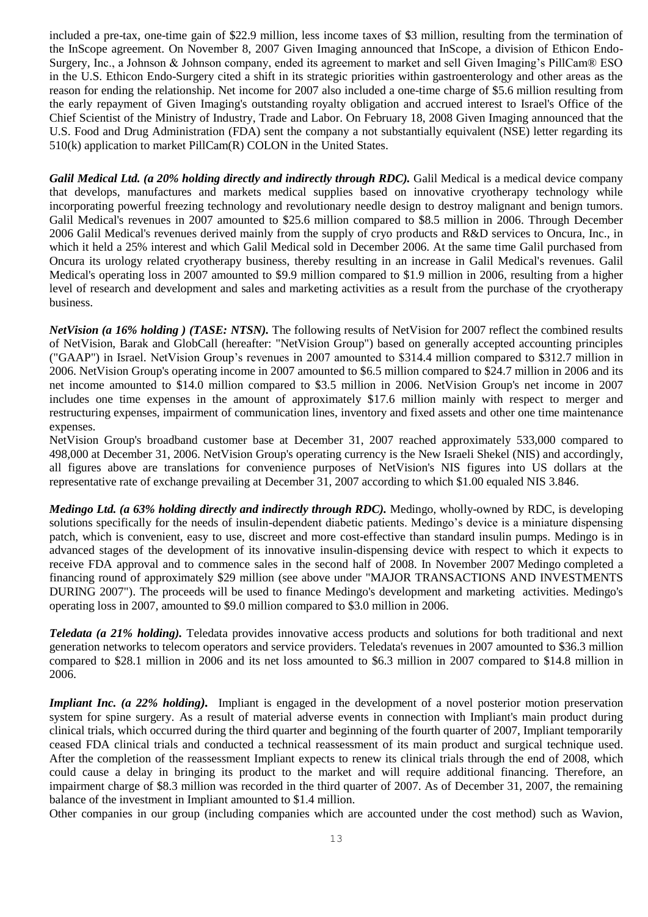included a pre-tax, one-time gain of \$22.9 million, less income taxes of \$3 million, resulting from the termination of the InScope agreement. On November 8, 2007 Given Imaging announced that InScope, a division of Ethicon Endo-Surgery, Inc., a Johnson & Johnson company, ended its agreement to market and sell Given Imaging's PillCam® ESO in the U.S. Ethicon Endo-Surgery cited a shift in its strategic priorities within gastroenterology and other areas as the reason for ending the relationship. Net income for 2007 also included a one-time charge of \$5.6 million resulting from the early repayment of Given Imaging's outstanding royalty obligation and accrued interest to Israel's Office of the Chief Scientist of the Ministry of Industry, Trade and Labor. On February 18, 2008 Given Imaging announced that the U.S. Food and Drug Administration (FDA) sent the company a not substantially equivalent (NSE) letter regarding its 510(k) application to market PillCam(R) COLON in the United States.

*Galil Medical Ltd. (a 20% holding directly and indirectly through RDC).* Galil Medical is a medical device company that develops, manufactures and markets medical supplies based on innovative cryotherapy technology while incorporating powerful freezing technology and revolutionary needle design to destroy malignant and benign tumors. Galil Medical's revenues in 2007 amounted to \$25.6 million compared to \$8.5 million in 2006. Through December 2006 Galil Medical's revenues derived mainly from the supply of cryo products and R&D services to Oncura, Inc., in which it held a 25% interest and which Galil Medical sold in December 2006. At the same time Galil purchased from Oncura its urology related cryotherapy business, thereby resulting in an increase in Galil Medical's revenues. Galil Medical's operating loss in 2007 amounted to \$9.9 million compared to \$1.9 million in 2006, resulting from a higher level of research and development and sales and marketing activities as a result from the purchase of the cryotherapy business.

*NetVision (a 16% holding) (TASE: NTSN).* The following results of NetVision for 2007 reflect the combined results of NetVision, Barak and GlobCall (hereafter: "NetVision Group") based on generally accepted accounting principles ("GAAP") in Israel. NetVision Group's revenues in 2007 amounted to \$314.4 million compared to \$312.7 million in 2006. NetVision Group's operating income in 2007 amounted to \$6.5 million compared to \$24.7 million in 2006 and its net income amounted to \$14.0 million compared to \$3.5 million in 2006. NetVision Group's net income in 2007 includes one time expenses in the amount of approximately \$17.6 million mainly with respect to merger and restructuring expenses, impairment of communication lines, inventory and fixed assets and other one time maintenance expenses.

NetVision Group's broadband customer base at December 31, 2007 reached approximately 533,000 compared to 498,000 at December 31, 2006. NetVision Group's operating currency is the New Israeli Shekel (NIS) and accordingly, all figures above are translations for convenience purposes of NetVision's NIS figures into US dollars at the representative rate of exchange prevailing at December 31, 2007 according to which \$1.00 equaled NIS 3.846.

*Medingo Ltd. (a 63% holding directly and indirectly through RDC).* Medingo, wholly-owned by RDC, is developing solutions specifically for the needs of insulin-dependent diabetic patients. Medingo's device is a miniature dispensing patch, which is convenient, easy to use, discreet and more cost-effective than standard insulin pumps. Medingo is in advanced stages of the development of its innovative insulin-dispensing device with respect to which it expects to receive FDA approval and to commence sales in the second half of 2008. In November 2007 Medingo completed a financing round of approximately \$29 million (see above under "MAJOR TRANSACTIONS AND INVESTMENTS DURING 2007"). The proceeds will be used to finance Medingo's development and marketing activities. Medingo's operating loss in 2007, amounted to \$9.0 million compared to \$3.0 million in 2006.

*Teledata (a 21% holding).* Teledata provides innovative access products and solutions for both traditional and next generation networks to telecom operators and service providers. Teledata's revenues in 2007 amounted to \$36.3 million compared to \$28.1 million in 2006 and its net loss amounted to \$6.3 million in 2007 compared to \$14.8 million in 2006.

*Impliant Inc. (a 22% holding*). Impliant is engaged in the development of a novel posterior motion preservation system for spine surgery. As a result of material adverse events in connection with Impliant's main product during clinical trials, which occurred during the third quarter and beginning of the fourth quarter of 2007, Impliant temporarily ceased FDA clinical trials and conducted a technical reassessment of its main product and surgical technique used. After the completion of the reassessment Impliant expects to renew its clinical trials through the end of 2008, which could cause a delay in bringing its product to the market and will require additional financing. Therefore, an impairment charge of \$8.3 million was recorded in the third quarter of 2007. As of December 31, 2007, the remaining balance of the investment in Impliant amounted to \$1.4 million.

Other companies in our group (including companies which are accounted under the cost method) such as Wavion,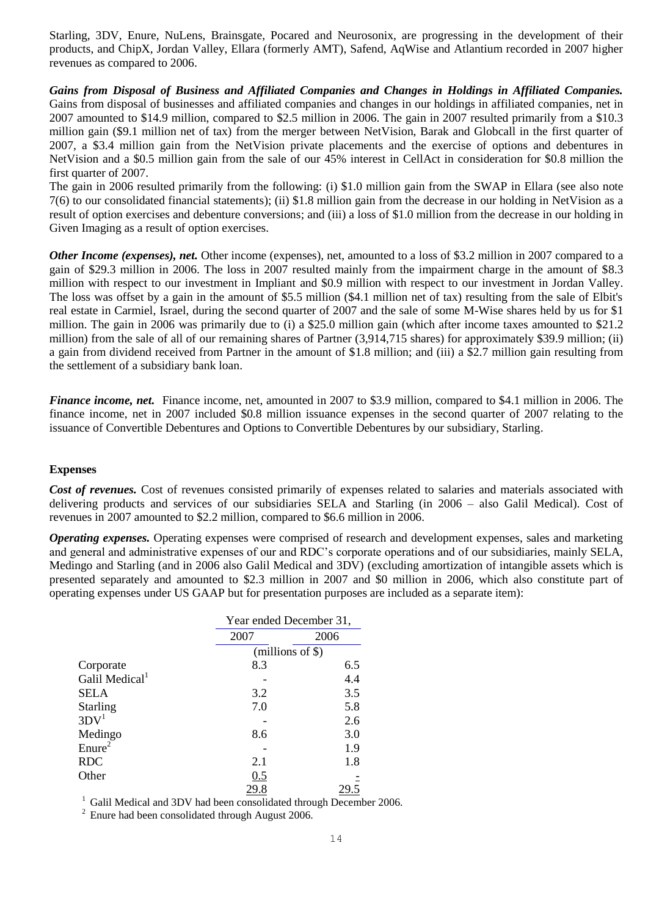Starling, 3DV, Enure, NuLens, Brainsgate, Pocared and Neurosonix, are progressing in the development of their products, and ChipX, Jordan Valley, Ellara (formerly AMT), Safend, AqWise and Atlantium recorded in 2007 higher revenues as compared to 2006.

*Gains from Disposal of Business and Affiliated Companies and Changes in Holdings in Affiliated Companies.*  Gains from disposal of businesses and affiliated companies and changes in our holdings in affiliated companies, net in 2007 amounted to \$14.9 million, compared to \$2.5 million in 2006. The gain in 2007 resulted primarily from a \$10.3 million gain (\$9.1 million net of tax) from the merger between NetVision, Barak and Globcall in the first quarter of 2007, a \$3.4 million gain from the NetVision private placements and the exercise of options and debentures in NetVision and a \$0.5 million gain from the sale of our 45% interest in CellAct in consideration for \$0.8 million the first quarter of 2007.

The gain in 2006 resulted primarily from the following: (i) \$1.0 million gain from the SWAP in Ellara (see also note 7(6) to our consolidated financial statements); (ii) \$1.8 million gain from the decrease in our holding in NetVision as a result of option exercises and debenture conversions; and (iii) a loss of \$1.0 million from the decrease in our holding in Given Imaging as a result of option exercises.

*Other Income (expenses), net.* Other income (expenses), net, amounted to a loss of \$3.2 million in 2007 compared to a gain of \$29.3 million in 2006. The loss in 2007 resulted mainly from the impairment charge in the amount of \$8.3 million with respect to our investment in Impliant and \$0.9 million with respect to our investment in Jordan Valley. The loss was offset by a gain in the amount of \$5.5 million (\$4.1 million net of tax) resulting from the sale of Elbit's real estate in Carmiel, Israel, during the second quarter of 2007 and the sale of some M-Wise shares held by us for \$1 million. The gain in 2006 was primarily due to (i) a \$25.0 million gain (which after income taxes amounted to \$21.2 million) from the sale of all of our remaining shares of Partner (3,914,715 shares) for approximately \$39.9 million; (ii) a gain from dividend received from Partner in the amount of \$1.8 million; and (iii) a \$2.7 million gain resulting from the settlement of a subsidiary bank loan.

*Finance income, net.* Finance income, net, amounted in 2007 to \$3.9 million, compared to \$4.1 million in 2006. The finance income, net in 2007 included \$0.8 million issuance expenses in the second quarter of 2007 relating to the issuance of Convertible Debentures and Options to Convertible Debentures by our subsidiary, Starling.

### **Expenses**

*Cost of revenues.* Cost of revenues consisted primarily of expenses related to salaries and materials associated with delivering products and services of our subsidiaries SELA and Starling (in 2006 – also Galil Medical). Cost of revenues in 2007 amounted to \$2.2 million, compared to \$6.6 million in 2006.

*Operating expenses.* Operating expenses were comprised of research and development expenses, sales and marketing and general and administrative expenses of our and RDC's corporate operations and of our subsidiaries, mainly SELA, Medingo and Starling (and in 2006 also Galil Medical and 3DV) (excluding amortization of intangible assets which is presented separately and amounted to \$2.3 million in 2007 and \$0 million in 2006, which also constitute part of operating expenses under US GAAP but for presentation purposes are included as a separate item):

|                            | Year ended December 31, |      |  |
|----------------------------|-------------------------|------|--|
|                            | 2007                    | 2006 |  |
|                            | $(millions of \$))$     |      |  |
| Corporate                  | 8.3                     | 6.5  |  |
| Galil Medical <sup>1</sup> |                         | 4.4  |  |
| <b>SELA</b>                | 3.2                     | 3.5  |  |
| <b>Starling</b>            | 7.0                     | 5.8  |  |
| 3DV <sup>1</sup>           |                         | 2.6  |  |
| Medingo                    | 8.6                     | 3.0  |  |
| Enure <sup>2</sup>         |                         | 1.9  |  |
| <b>RDC</b>                 | 2.1                     | 1.8  |  |
| Other                      | 0.5                     |      |  |
|                            | 29.8                    |      |  |

<sup>1</sup> Galil Medical and 3DV had been consolidated through December 2006.

 $2$  Enure had been consolidated through August 2006.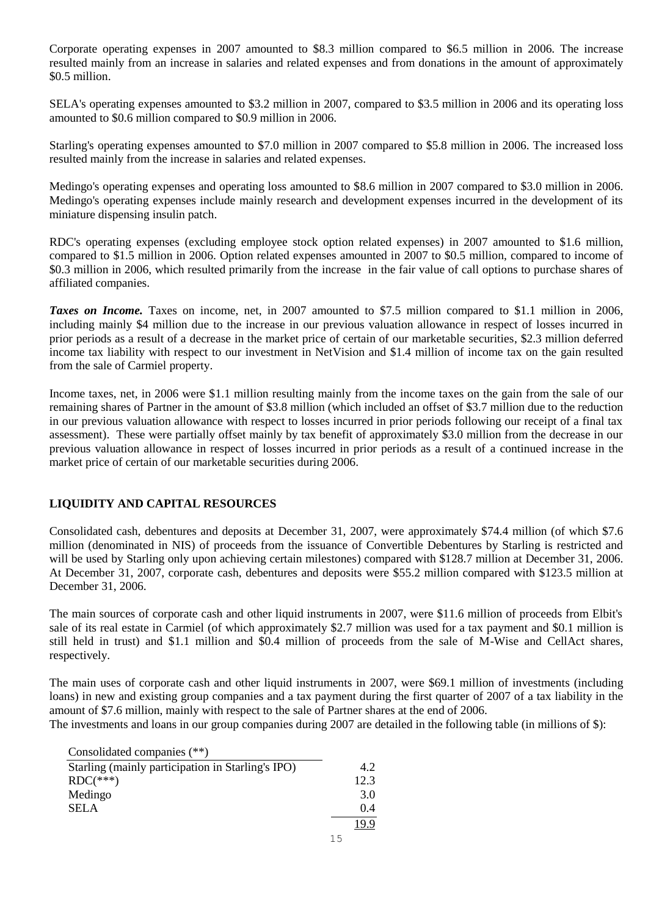Corporate operating expenses in 2007 amounted to \$8.3 million compared to \$6.5 million in 2006. The increase resulted mainly from an increase in salaries and related expenses and from donations in the amount of approximately \$0.5 million.

SELA's operating expenses amounted to \$3.2 million in 2007, compared to \$3.5 million in 2006 and its operating loss amounted to \$0.6 million compared to \$0.9 million in 2006.

Starling's operating expenses amounted to \$7.0 million in 2007 compared to \$5.8 million in 2006. The increased loss resulted mainly from the increase in salaries and related expenses.

Medingo's operating expenses and operating loss amounted to \$8.6 million in 2007 compared to \$3.0 million in 2006. Medingo's operating expenses include mainly research and development expenses incurred in the development of its miniature dispensing insulin patch.

RDC's operating expenses (excluding employee stock option related expenses) in 2007 amounted to \$1.6 million, compared to \$1.5 million in 2006. Option related expenses amounted in 2007 to \$0.5 million, compared to income of \$0.3 million in 2006, which resulted primarily from the increase in the fair value of call options to purchase shares of affiliated companies.

*Taxes on Income.* Taxes on income, net, in 2007 amounted to \$7.5 million compared to \$1.1 million in 2006, including mainly \$4 million due to the increase in our previous valuation allowance in respect of losses incurred in prior periods as a result of a decrease in the market price of certain of our marketable securities, \$2.3 million deferred income tax liability with respect to our investment in NetVision and \$1.4 million of income tax on the gain resulted from the sale of Carmiel property.

Income taxes, net, in 2006 were \$1.1 million resulting mainly from the income taxes on the gain from the sale of our remaining shares of Partner in the amount of \$3.8 million (which included an offset of \$3.7 million due to the reduction in our previous valuation allowance with respect to losses incurred in prior periods following our receipt of a final tax assessment). These were partially offset mainly by tax benefit of approximately \$3.0 million from the decrease in our previous valuation allowance in respect of losses incurred in prior periods as a result of a continued increase in the market price of certain of our marketable securities during 2006.

## **LIQUIDITY AND CAPITAL RESOURCES**

Consolidated cash, debentures and deposits at December 31, 2007, were approximately \$74.4 million (of which \$7.6 million (denominated in NIS) of proceeds from the issuance of Convertible Debentures by Starling is restricted and will be used by Starling only upon achieving certain milestones) compared with \$128.7 million at December 31, 2006. At December 31, 2007, corporate cash, debentures and deposits were \$55.2 million compared with \$123.5 million at December 31, 2006.

The main sources of corporate cash and other liquid instruments in 2007, were \$11.6 million of proceeds from Elbit's sale of its real estate in Carmiel (of which approximately \$2.7 million was used for a tax payment and \$0.1 million is still held in trust) and \$1.1 million and \$0.4 million of proceeds from the sale of M-Wise and CellAct shares, respectively.

The main uses of corporate cash and other liquid instruments in 2007, were \$69.1 million of investments (including loans) in new and existing group companies and a tax payment during the first quarter of 2007 of a tax liability in the amount of \$7.6 million, mainly with respect to the sale of Partner shares at the end of 2006.

The investments and loans in our group companies during 2007 are detailed in the following table (in millions of \$):

| Consolidated companies (**) |  |
|-----------------------------|--|
|-----------------------------|--|

| $-0.110011$ and $-0.11100111$                     |      |
|---------------------------------------------------|------|
| Starling (mainly participation in Starling's IPO) | 4.2  |
| $RDC(***)$                                        | 12.3 |
| Medingo                                           | 3.0  |
| <b>SELA</b>                                       | 0.4  |
|                                                   |      |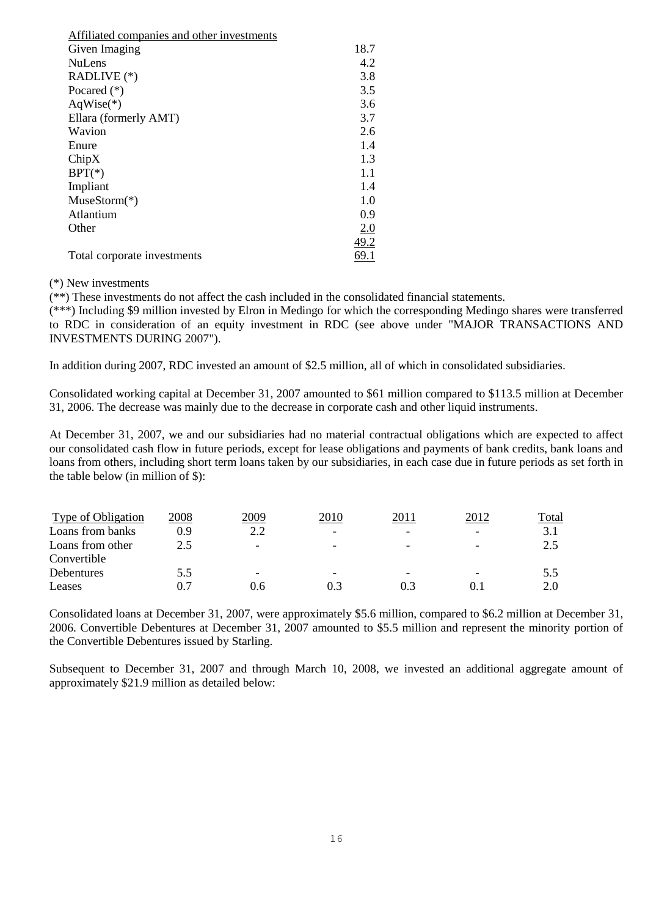| Affiliated companies and other investments |      |
|--------------------------------------------|------|
| Given Imaging                              | 18.7 |
| <b>NuLens</b>                              | 4.2  |
| RADLIVE (*)                                | 3.8  |
| Pocared $(*)$                              | 3.5  |
| $AqWise(*)$                                | 3.6  |
| Ellara (formerly AMT)                      | 3.7  |
| Wavion                                     | 2.6  |
| Enure                                      | 1.4  |
| ChipX                                      | 1.3  |
| $BPT(*)$                                   | 1.1  |
| Impliant                                   | 1.4  |
| $MuseStorm(*)$                             | 1.0  |
| Atlantium                                  | 0.9  |
| Other                                      | 2.0  |
|                                            | 49.2 |
| Total corporate investments                | 69.1 |

(\*) New investments

(\*\*) These investments do not affect the cash included in the consolidated financial statements.

(\*\*\*) Including \$9 million invested by Elron in Medingo for which the corresponding Medingo shares were transferred to RDC in consideration of an equity investment in RDC (see above under "MAJOR TRANSACTIONS AND INVESTMENTS DURING 2007").

In addition during 2007, RDC invested an amount of \$2.5 million, all of which in consolidated subsidiaries.

Consolidated working capital at December 31, 2007 amounted to \$61 million compared to \$113.5 million at December 31, 2006. The decrease was mainly due to the decrease in corporate cash and other liquid instruments.

At December 31, 2007, we and our subsidiaries had no material contractual obligations which are expected to affect our consolidated cash flow in future periods, except for lease obligations and payments of bank credits, bank loans and loans from others, including short term loans taken by our subsidiaries, in each case due in future periods as set forth in the table below (in million of \$):

| Type of Obligation | 2008 | 2009                     | 2010                     | 2011 | 2012                     | Total        |
|--------------------|------|--------------------------|--------------------------|------|--------------------------|--------------|
| Loans from banks   | 0.9  | 2.2                      | $\overline{\phantom{a}}$ |      |                          | $\mathbf{R}$ |
| Loans from other   | 2.5  | $\overline{\phantom{0}}$ | -                        | -    | $\overline{\phantom{0}}$ | $\gamma$     |
| Convertible        |      |                          |                          |      |                          |              |
| Debentures         | 5.5  | $\overline{\phantom{0}}$ | -                        | -    |                          | 5.5          |
| Leases             |      | 0.6                      |                          |      |                          | 2 O          |

Consolidated loans at December 31, 2007, were approximately \$5.6 million, compared to \$6.2 million at December 31, 2006. Convertible Debentures at December 31, 2007 amounted to \$5.5 million and represent the minority portion of the Convertible Debentures issued by Starling.

Subsequent to December 31, 2007 and through March 10, 2008, we invested an additional aggregate amount of approximately \$21.9 million as detailed below: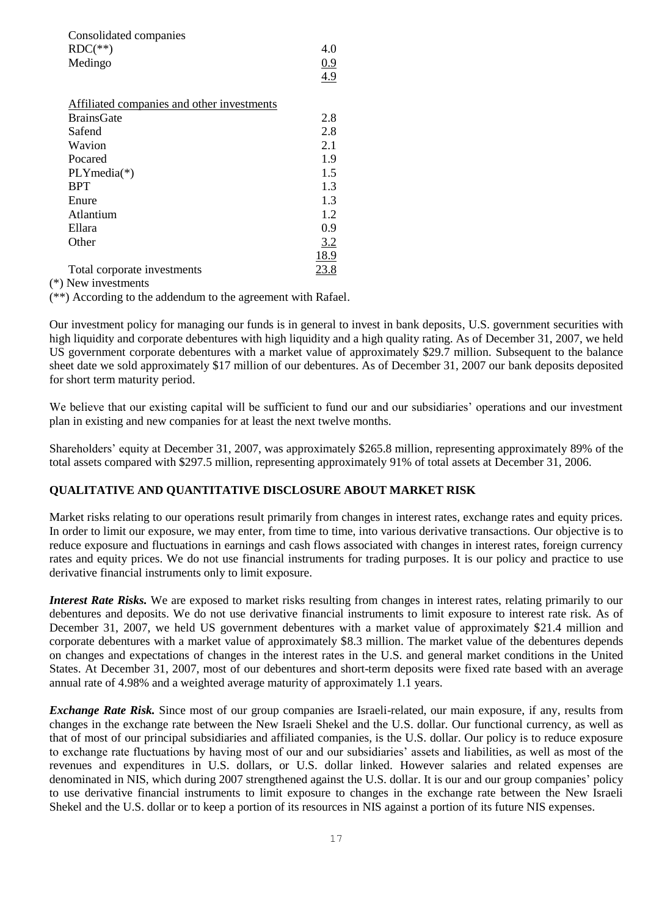| Consolidated companies                     |      |
|--------------------------------------------|------|
| $RDC(**)$                                  | 4.0  |
| Medingo                                    | 0.9  |
|                                            | 4.9  |
|                                            |      |
| Affiliated companies and other investments |      |
| <b>BrainsGate</b>                          | 2.8  |
| Safend                                     | 2.8  |
| Wavion                                     | 2.1  |
| Pocared                                    | 1.9  |
| $PLYmedia(*)$                              | 1.5  |
| <b>BPT</b>                                 | 1.3  |
| Enure                                      | 1.3  |
| Atlantium                                  | 1.2  |
| Ellara                                     | 0.9  |
| Other                                      | 3.2  |
|                                            | 18.9 |
| Total corporate investments                | 23.8 |

(\*) New investments

(\*\*) According to the addendum to the agreement with Rafael.

Our investment policy for managing our funds is in general to invest in bank deposits, U.S. government securities with high liquidity and corporate debentures with high liquidity and a high quality rating. As of December 31, 2007, we held US government corporate debentures with a market value of approximately \$29.7 million. Subsequent to the balance sheet date we sold approximately \$17 million of our debentures. As of December 31, 2007 our bank deposits deposited for short term maturity period.

We believe that our existing capital will be sufficient to fund our and our subsidiaries' operations and our investment plan in existing and new companies for at least the next twelve months.

Shareholders' equity at December 31, 2007, was approximately \$265.8 million, representing approximately 89% of the total assets compared with \$297.5 million, representing approximately 91% of total assets at December 31, 2006.

## **QUALITATIVE AND QUANTITATIVE DISCLOSURE ABOUT MARKET RISK**

Market risks relating to our operations result primarily from changes in interest rates, exchange rates and equity prices. In order to limit our exposure, we may enter, from time to time, into various derivative transactions. Our objective is to reduce exposure and fluctuations in earnings and cash flows associated with changes in interest rates, foreign currency rates and equity prices. We do not use financial instruments for trading purposes. It is our policy and practice to use derivative financial instruments only to limit exposure.

*Interest Rate Risks.* We are exposed to market risks resulting from changes in interest rates, relating primarily to our debentures and deposits. We do not use derivative financial instruments to limit exposure to interest rate risk. As of December 31, 2007, we held US government debentures with a market value of approximately \$21.4 million and corporate debentures with a market value of approximately \$8.3 million. The market value of the debentures depends on changes and expectations of changes in the interest rates in the U.S. and general market conditions in the United States. At December 31, 2007, most of our debentures and short-term deposits were fixed rate based with an average annual rate of 4.98% and a weighted average maturity of approximately 1.1 years.

*Exchange Rate Risk.* Since most of our group companies are Israeli-related, our main exposure, if any, results from changes in the exchange rate between the New Israeli Shekel and the U.S. dollar. Our functional currency, as well as that of most of our principal subsidiaries and affiliated companies, is the U.S. dollar. Our policy is to reduce exposure to exchange rate fluctuations by having most of our and our subsidiaries' assets and liabilities, as well as most of the revenues and expenditures in U.S. dollars, or U.S. dollar linked. However salaries and related expenses are denominated in NIS, which during 2007 strengthened against the U.S. dollar. It is our and our group companies' policy to use derivative financial instruments to limit exposure to changes in the exchange rate between the New Israeli Shekel and the U.S. dollar or to keep a portion of its resources in NIS against a portion of its future NIS expenses.